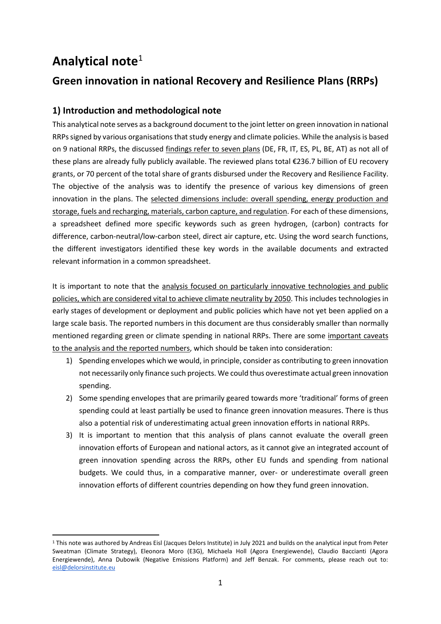# **Analytical note**<sup>1</sup>

# **Green innovation in national Recovery and Resilience Plans (RRPs)**

# **1) Introduction and methodological note**

This analytical note serves as a background document to the joint letter on green innovation in national RRPs signed by various organisations that study energy and climate policies. While the analysis is based on 9 national RRPs, the discussed findings refer to seven plans (DE, FR, IT, ES, PL, BE, AT) as not all of these plans are already fully publicly available. The reviewed plans total €236.7 billion of EU recovery grants, or 70 percent of the total share of grants disbursed under the Recovery and Resilience Facility. The objective of the analysis was to identify the presence of various key dimensions of green innovation in the plans. The selected dimensions include: overall spending, energy production and storage, fuels and recharging, materials, carbon capture, and regulation. For each of these dimensions, a spreadsheet defined more specific keywords such as green hydrogen, (carbon) contracts for difference, carbon-neutral/low-carbon steel, direct air capture, etc. Using the word search functions, the different investigators identified these key words in the available documents and extracted relevant information in a common spreadsheet.

It is important to note that the analysis focused on particularly innovative technologies and public policies, which are considered vital to achieve climate neutrality by 2050. This includes technologies in early stages of development or deployment and public policies which have not yet been applied on a large scale basis. The reported numbers in this document are thus considerably smaller than normally mentioned regarding green or climate spending in national RRPs. There are some important caveats to the analysis and the reported numbers, which should be taken into consideration:

- 1) Spending envelopes which we would, in principle, consider as contributing to green innovation not necessarily only finance such projects. We could thus overestimate actual green innovation spending.
- 2) Some spending envelopes that are primarily geared towards more 'traditional' forms of green spending could at least partially be used to finance green innovation measures. There is thus also a potential risk of underestimating actual green innovation efforts in national RRPs.
- 3) It is important to mention that this analysis of plans cannot evaluate the overall green innovation efforts of European and national actors, as it cannot give an integrated account of green innovation spending across the RRPs, other EU funds and spending from national budgets. We could thus, in a comparative manner, over- or underestimate overall green innovation efforts of different countries depending on how they fund green innovation.

<sup>1</sup> This note was authored by Andreas Eisl (Jacques Delors Institute) in July 2021 and builds on the analytical input from Peter Sweatman (Climate Strategy), Eleonora Moro (E3G), Michaela Holl (Agora Energiewende), Claudio Baccianti (Agora Energiewende), Anna Dubowik (Negative Emissions Platform) and Jeff Benzak. For comments, please reach out to: [eisl@delorsinstitute.eu](mailto:eisl@delorsinstitute.eu)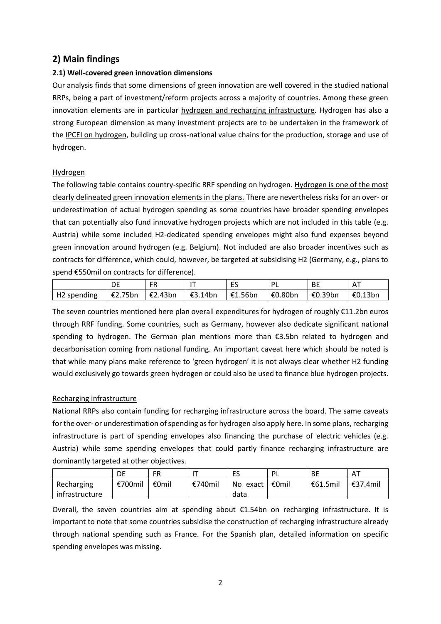## **2) Main findings**

## **2.1) Well-covered green innovation dimensions**

Our analysis finds that some dimensions of green innovation are well covered in the studied national RRPs, being a part of investment/reform projects across a majority of countries. Among these green innovation elements are in particular hydrogen and recharging infrastructure. Hydrogen has also a strong European dimension as many investment projects are to be undertaken in the framework of the IPCEI on hydrogen, building up cross-national value chains for the production, storage and use of hydrogen.

## **Hydrogen**

The following table contains country-specific RRF spending on hydrogen. Hydrogen is one of the most clearly delineated green innovation elements in the plans. There are nevertheless risks for an over- or underestimation of actual hydrogen spending as some countries have broader spending envelopes that can potentially also fund innovative hydrogen projects which are not included in this table (e.g. Austria) while some included H2-dedicated spending envelopes might also fund expenses beyond green innovation around hydrogen (e.g. Belgium). Not included are also broader incentives such as contracts for difference, which could, however, be targeted at subsidising H2 (Germany, e.g., plans to spend €550mil on contracts for difference).

|             |                   |                 |                   | <b>BE</b>         |                |
|-------------|-------------------|-----------------|-------------------|-------------------|----------------|
| H2 spending | $\epsilon$ 2.75bn | E2.43bn E3.14bn | €1.56bn   €0.80bn | $\epsilon$ 0.39bn | $\mid$ €0.13bn |

The seven countries mentioned here plan overall expenditures for hydrogen of roughly €11.2bn euros through RRF funding. Some countries, such as Germany, however also dedicate significant national spending to hydrogen. The German plan mentions more than €3.5bn related to hydrogen and decarbonisation coming from national funding. An important caveat here which should be noted is that while many plans make reference to 'green hydrogen' it is not always clear whether H2 funding would exclusively go towards green hydrogen or could also be used to finance blue hydrogen projects.

## Recharging infrastructure

National RRPs also contain funding for recharging infrastructure across the board. The same caveats for the over- or underestimation of spending as for hydrogen also apply here. In some plans, recharging infrastructure is part of spending envelopes also financing the purchase of electric vehicles (e.g. Austria) while some spending envelopes that could partly finance recharging infrastructure are dominantly targeted at other objectives.

|                | DE      | <b>FR</b> |         | FS<br>ں سا | PL    | <b>BE</b> | AT       |
|----------------|---------|-----------|---------|------------|-------|-----------|----------|
| Recharging     | €700mil | €0mil     | €740mil | No exact   | €0mil | €61.5mil  | €37.4mil |
| infrastructure |         |           |         | data       |       |           |          |

Overall, the seven countries aim at spending about €1.54bn on recharging infrastructure. It is important to note that some countries subsidise the construction of recharging infrastructure already through national spending such as France. For the Spanish plan, detailed information on specific spending envelopes was missing.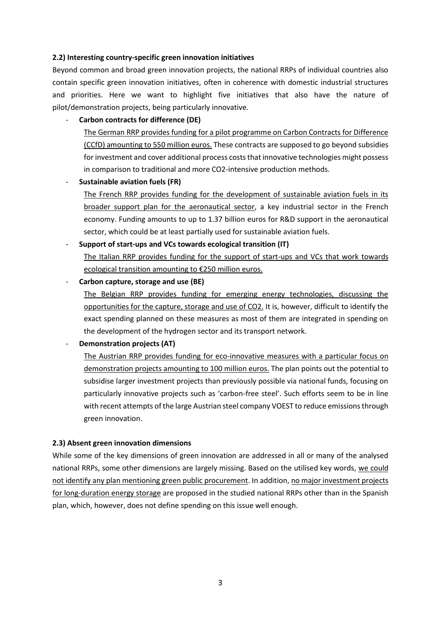#### **2.2) Interesting country-specific green innovation initiatives**

Beyond common and broad green innovation projects, the national RRPs of individual countries also contain specific green innovation initiatives, often in coherence with domestic industrial structures and priorities. Here we want to highlight five initiatives that also have the nature of pilot/demonstration projects, being particularly innovative.

#### - **Carbon contracts for difference (DE)**

The German RRP provides funding for a pilot programme on Carbon Contracts for Difference (CCfD) amounting to 550 million euros. These contracts are supposed to go beyond subsidies for investment and cover additional process costs that innovative technologies might possess in comparison to traditional and more CO2-intensive production methods.

#### - **Sustainable aviation fuels (FR)**

The French RRP provides funding for the development of sustainable aviation fuels in its broader support plan for the aeronautical sector, a key industrial sector in the French economy. Funding amounts to up to 1.37 billion euros for R&D support in the aeronautical sector, which could be at least partially used for sustainable aviation fuels.

#### - **Support of start-ups and VCs towards ecological transition (IT)**

The Italian RRP provides funding for the support of start-ups and VCs that work towards ecological transition amounting to €250 million euros.

- **Carbon capture, storage and use (BE)**

The Belgian RRP provides funding for emerging energy technologies, discussing the opportunities for the capture, storage and use of CO2. It is, however, difficult to identify the exact spending planned on these measures as most of them are integrated in spending on the development of the hydrogen sector and its transport network.

**Demonstration projects (AT)** 

The Austrian RRP provides funding for eco-innovative measures with a particular focus on demonstration projects amounting to 100 million euros. The plan points out the potential to subsidise larger investment projects than previously possible via national funds, focusing on particularly innovative projects such as 'carbon-free steel'. Such efforts seem to be in line with recent attempts of the large Austrian steel company VOEST to reduce emissions through green innovation.

#### **2.3) Absent green innovation dimensions**

While some of the key dimensions of green innovation are addressed in all or many of the analysed national RRPs, some other dimensions are largely missing. Based on the utilised key words, we could not identify any plan mentioning green public procurement. In addition, no major investment projects for long-duration energy storage are proposed in the studied national RRPs other than in the Spanish plan, which, however, does not define spending on this issue well enough.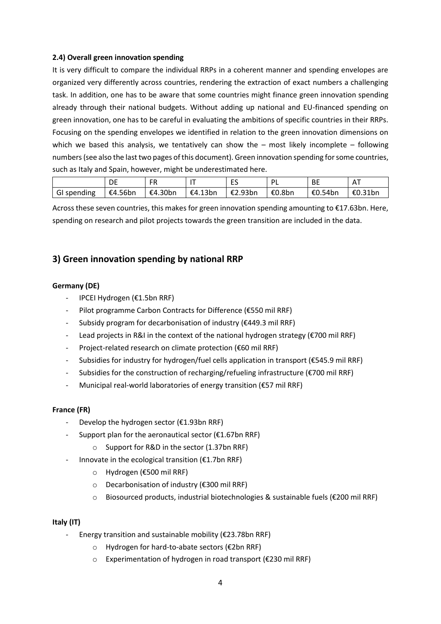### **2.4) Overall green innovation spending**

It is very difficult to compare the individual RRPs in a coherent manner and spending envelopes are organized very differently across countries, rendering the extraction of exact numbers a challenging task. In addition, one has to be aware that some countries might finance green innovation spending already through their national budgets. Without adding up national and EU-financed spending on green innovation, one has to be careful in evaluating the ambitions of specific countries in their RRPs. Focusing on the spending envelopes we identified in relation to the green innovation dimensions on which we based this analysis, we tentatively can show the  $-$  most likely incomplete  $-$  following numbers (see also the last two pages of this document). Green innovation spending for some countries, such as Italy and Spain, however, might be underestimated here.

|             | DE      | FR      |         | --<br>⊢<br>__ | ומ     | <b>BE</b> |         |
|-------------|---------|---------|---------|---------------|--------|-----------|---------|
| GI spending | €4.56bn | €4.30bn | €4.13bn | €2.93bn       | €0.8bn | €0.54bn   | €0.31bn |

Across these seven countries, this makes for green innovation spending amounting to €17.63bn. Here, spending on research and pilot projects towards the green transition are included in the data.

## **3) Green innovation spending by national RRP**

## **Germany (DE)**

- IPCEI Hydrogen (€1.5bn RRF)
- Pilot programme Carbon Contracts for Difference (€550 mil RRF)
- Subsidy program for decarbonisation of industry (€449.3 mil RRF)
- Lead projects in R&I in the context of the national hydrogen strategy (€700 mil RRF)
- Project-related research on climate protection (€60 mil RRF)
- Subsidies for industry for hydrogen/fuel cells application in transport (€545.9 mil RRF)
- Subsidies for the construction of recharging/refueling infrastructure (€700 mil RRF)
- Municipal real-world laboratories of energy transition (€57 mil RRF)

## **France (FR)**

- Develop the hydrogen sector (€1.93bn RRF)
- Support plan for the aeronautical sector ( $£1.67$ bn RRF)
	- o Support for R&D in the sector (1.37bn RRF)
- Innovate in the ecological transition ( $\epsilon$ 1.7bn RRF)
	- o Hydrogen (€500 mil RRF)
	- o Decarbonisation of industry (€300 mil RRF)
	- o Biosourced products, industrial biotechnologies & sustainable fuels (€200 mil RRF)

#### **Italy (IT)**

- Energy transition and sustainable mobility ( $\epsilon$ 23.78bn RRF)
	- o Hydrogen for hard-to-abate sectors (€2bn RRF)
	- o Experimentation of hydrogen in road transport (€230 mil RRF)